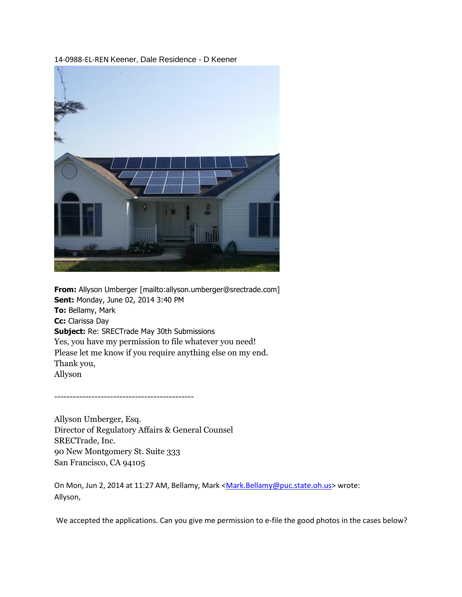14-0988-EL-REN Keener, Dale Residence - D Keener



**From:** Allyson Umberger [mailto:allyson.umberger@srectrade.com] **Sent:** Monday, June 02, 2014 3:40 PM **To:** Bellamy, Mark **Cc:** Clarissa Day **Subject:** Re: SRECTrade May 30th Submissions Yes, you have my permission to file whatever you need! Please let me know if you require anything else on my end. Thank you, Allyson

---------------------------------------------

Allyson Umberger, Esq. Director of Regulatory Affairs & General Counsel SRECTrade, Inc. 90 New Montgomery St. Suite 333 San Francisco, CA 94105

On Mon, Jun 2, 2014 at 11:27 AM, Bellamy, Mark [<Mark.Bellamy@puc.state.oh.us>](mailto:Mark.Bellamy@puc.state.oh.us) wrote: Allyson,

We accepted the applications. Can you give me permission to e-file the good photos in the cases below?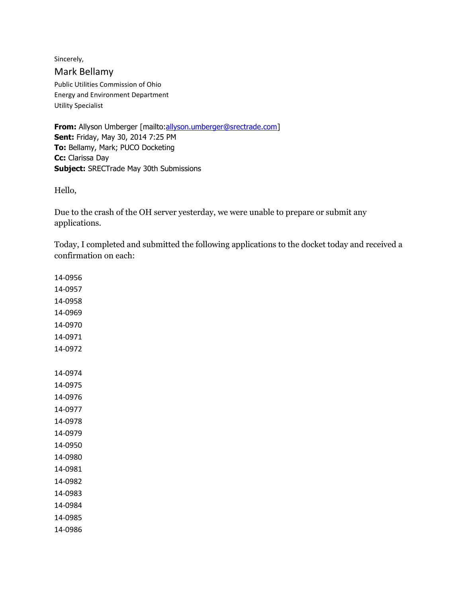Sincerely, Mark Bellamy Public Utilities Commission of Ohio Energy and Environment Department Utility Specialist

**From:** Allyson Umberger [mailto[:allyson.umberger@srectrade.com\]](mailto:allyson.umberger@srectrade.com) **Sent:** Friday, May 30, 2014 7:25 PM **To:** Bellamy, Mark; PUCO Docketing **Cc:** Clarissa Day **Subject:** SRECTrade May 30th Submissions

Hello,

Due to the crash of the OH server yesterday, we were unable to prepare or submit any applications.

Today, I completed and submitted the following applications to the docket today and received a confirmation on each:

14-0956 14-0957 14-0958 14-0969 14-0970 14-0971 14-0972 14-0974 14-0975 14-0976 14-0977 14-0978 14-0979 14-0950 14-0980 14-0981 14-0982 14-0983 14-0984 14-0985 14-0986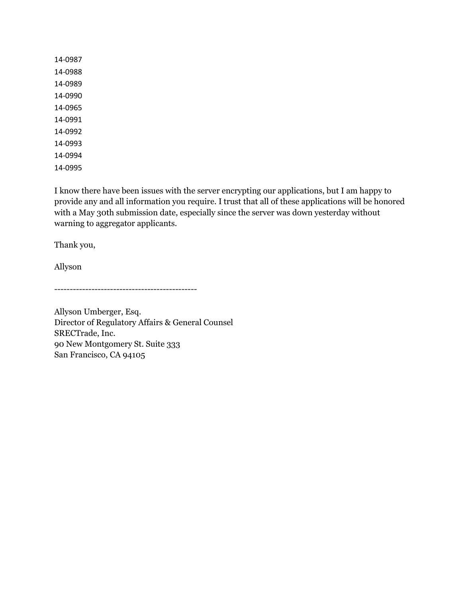14-0987 14-0988 14-0989 14-0990 14-0965 14-0991 14-0992 14-0993 14-0994 14-0995

I know there have been issues with the server encrypting our applications, but I am happy to provide any and all information you require. I trust that all of these applications will be honored with a May 30th submission date, especially since the server was down yesterday without warning to aggregator applicants.

Thank you,

Allyson

----------------------------------------------

Allyson Umberger, Esq. Director of Regulatory Affairs & General Counsel SRECTrade, Inc. 90 New Montgomery St. Suite 333 San Francisco, CA 94105